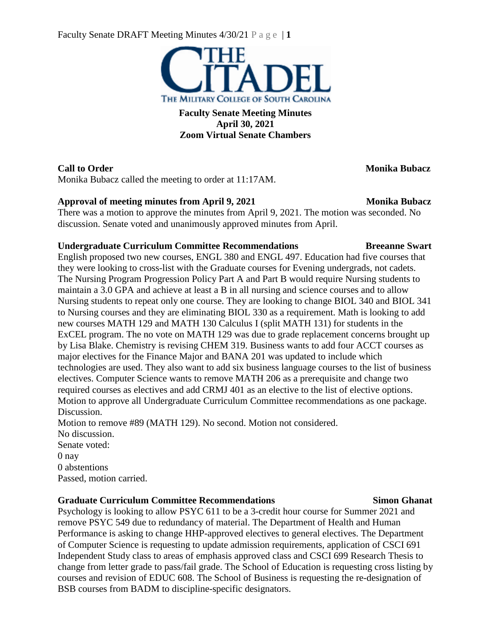Faculty Senate DRAFT Meeting Minutes 4/30/21 P a g e | **1**



**Faculty Senate Meeting Minutes April 30, 2021 Zoom Virtual Senate Chambers**

## **Call to Order Monika Bubacz**

Monika Bubacz called the meeting to order at 11:17AM.

## **Approval of meeting minutes from April 9, 2021 Monika Bubacz**

There was a motion to approve the minutes from April 9, 2021. The motion was seconded. No discussion. Senate voted and unanimously approved minutes from April.

## **Undergraduate Curriculum Committee Recommendations Breeanne Swart**

English proposed two new courses, ENGL 380 and ENGL 497. Education had five courses that they were looking to cross-list with the Graduate courses for Evening undergrads, not cadets. The Nursing Program Progression Policy Part A and Part B would require Nursing students to maintain a 3.0 GPA and achieve at least a B in all nursing and science courses and to allow Nursing students to repeat only one course. They are looking to change BIOL 340 and BIOL 341 to Nursing courses and they are eliminating BIOL 330 as a requirement. Math is looking to add new courses MATH 129 and MATH 130 Calculus I (split MATH 131) for students in the ExCEL program. The no vote on MATH 129 was due to grade replacement concerns brought up by Lisa Blake. Chemistry is revising CHEM 319. Business wants to add four ACCT courses as major electives for the Finance Major and BANA 201 was updated to include which technologies are used. They also want to add six business language courses to the list of business electives. Computer Science wants to remove MATH 206 as a prerequisite and change two required courses as electives and add CRMJ 401 as an elective to the list of elective options. Motion to approve all Undergraduate Curriculum Committee recommendations as one package. Discussion.

Motion to remove #89 (MATH 129). No second. Motion not considered. No discussion. Senate voted: 0 nay 0 abstentions Passed, motion carried.

## **Graduate Curriculum Committee Recommendations Simon Ghanat**

Psychology is looking to allow PSYC 611 to be a 3-credit hour course for Summer 2021 and remove PSYC 549 due to redundancy of material. The Department of Health and Human Performance is asking to change HHP-approved electives to general electives. The Department of Computer Science is requesting to update admission requirements, application of CSCI 691 Independent Study class to areas of emphasis approved class and CSCI 699 Research Thesis to change from letter grade to pass/fail grade. The School of Education is requesting cross listing by courses and revision of EDUC 608. The School of Business is requesting the re-designation of BSB courses from BADM to discipline-specific designators.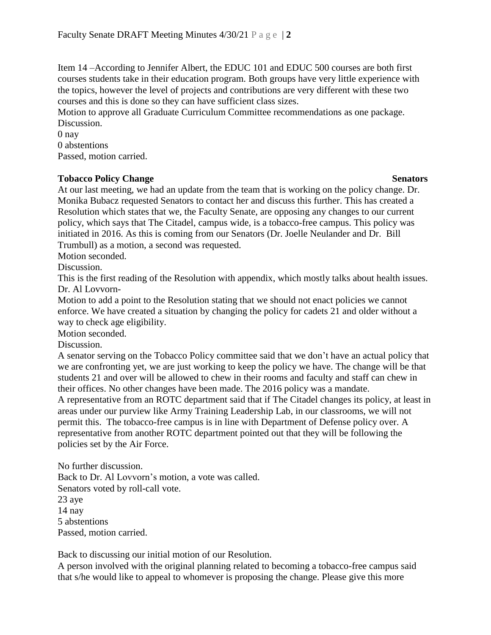Item 14 –According to Jennifer Albert, the EDUC 101 and EDUC 500 courses are both first courses students take in their education program. Both groups have very little experience with the topics, however the level of projects and contributions are very different with these two courses and this is done so they can have sufficient class sizes.

Motion to approve all Graduate Curriculum Committee recommendations as one package. Discussion.

0 nay 0 abstentions Passed, motion carried.

### **Tobacco Policy Change** Senators **Senators**

At our last meeting, we had an update from the team that is working on the policy change. Dr. Monika Bubacz requested Senators to contact her and discuss this further. This has created a Resolution which states that we, the Faculty Senate, are opposing any changes to our current policy, which says that The Citadel, campus wide, is a tobacco-free campus. This policy was initiated in 2016. As this is coming from our Senators (Dr. Joelle Neulander and Dr. Bill Trumbull) as a motion, a second was requested.

Motion seconded.

Discussion.

This is the first reading of the Resolution with appendix, which mostly talks about health issues. Dr. Al Lovvorn-

Motion to add a point to the Resolution stating that we should not enact policies we cannot enforce. We have created a situation by changing the policy for cadets 21 and older without a way to check age eligibility.

Motion seconded.

Discussion.

A senator serving on the Tobacco Policy committee said that we don't have an actual policy that we are confronting yet, we are just working to keep the policy we have. The change will be that students 21 and over will be allowed to chew in their rooms and faculty and staff can chew in their offices. No other changes have been made. The 2016 policy was a mandate. A representative from an ROTC department said that if The Citadel changes its policy, at least in areas under our purview like Army Training Leadership Lab, in our classrooms, we will not permit this. The tobacco-free campus is in line with Department of Defense policy over. A representative from another ROTC department pointed out that they will be following the

policies set by the Air Force.

No further discussion. Back to Dr. Al Lovvorn's motion, a vote was called. Senators voted by roll-call vote. 23 aye 14 nay 5 abstentions Passed, motion carried.

Back to discussing our initial motion of our Resolution.

A person involved with the original planning related to becoming a tobacco-free campus said that s/he would like to appeal to whomever is proposing the change. Please give this more